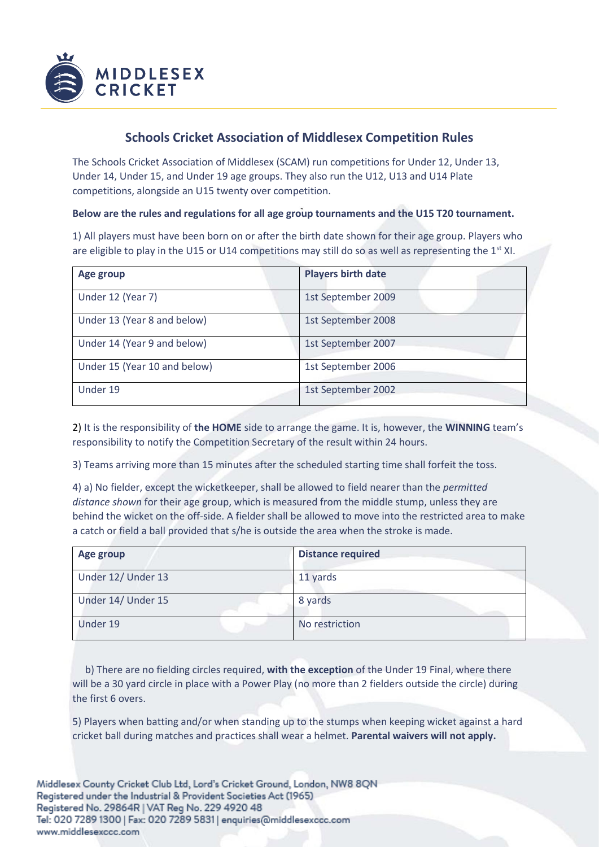

## **Schools Cricket Association of Middlesex Competition Rules**

The Schools Cricket Association of Middlesex (SCAM) run competitions for Under 12, Under 13, Under 14, Under 15, and Under 19 age groups. They also run the U12, U13 and U14 Plate competitions, alongside an U15 twenty over competition.

## **Below are the rules and regulations for all age group tournaments and the U15 T20 tournament.**

1) All players must have been born on or after the birth date shown for their age group. Players who are eligible to play in the U15 or U14 competitions may still do so as well as representing the  $1^{st}$  XI.

| Age group                    | <b>Players birth date</b> |
|------------------------------|---------------------------|
| Under 12 (Year 7)            | 1st September 2009        |
| Under 13 (Year 8 and below)  | 1st September 2008        |
| Under 14 (Year 9 and below)  | 1st September 2007        |
| Under 15 (Year 10 and below) | 1st September 2006        |
| Under 19                     | 1st September 2002        |

2) It is the responsibility of **the HOME** side to arrange the game. It is, however, the **WINNING** team's responsibility to notify the Competition Secretary of the result within 24 hours.

3) Teams arriving more than 15 minutes after the scheduled starting time shall forfeit the toss.

4) a) No fielder, except the wicketkeeper, shall be allowed to field nearer than the *permitted distance shown* for their age group, which is measured from the middle stump, unless they are behind the wicket on the off-side. A fielder shall be allowed to move into the restricted area to make a catch or field a ball provided that s/he is outside the area when the stroke is made.

| Age group          | <b>Distance required</b> |
|--------------------|--------------------------|
| Under 12/ Under 13 | 11 yards                 |
| Under 14/ Under 15 | 8 yards                  |
| Under 19           | No restriction           |

 b) There are no fielding circles required, **with the exception** of the Under 19 Final, where there will be a 30 yard circle in place with a Power Play (no more than 2 fielders outside the circle) during the first 6 overs.

5) Players when batting and/or when standing up to the stumps when keeping wicket against a hard cricket ball during matches and practices shall wear a helmet. **Parental waivers will not apply.**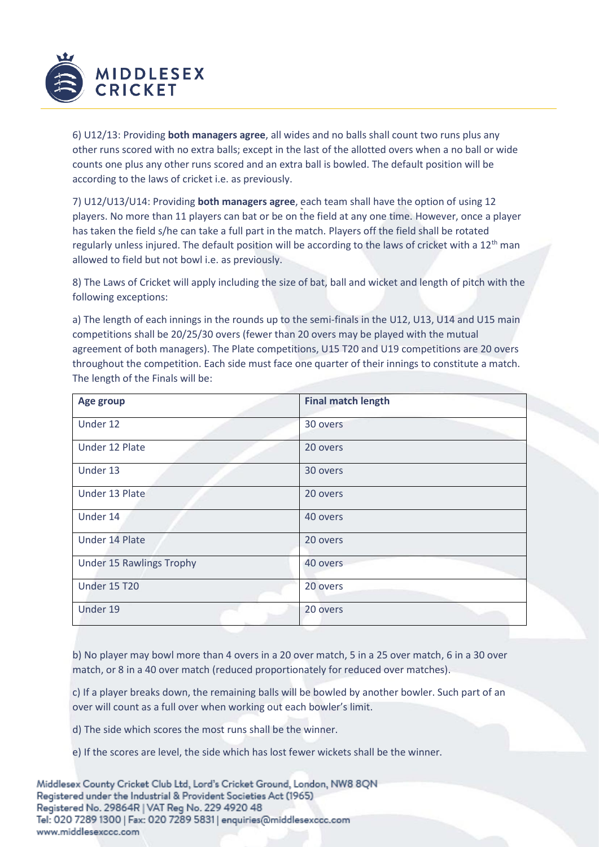

6) U12/13: Providing **both managers agree**, all wides and no balls shall count two runs plus any other runs scored with no extra balls; except in the last of the allotted overs when a no ball or wide counts one plus any other runs scored and an extra ball is bowled. The default position will be according to the laws of cricket i.e. as previously.

7) U12/U13/U14: Providing **both managers agree**, each team shall have the option of using 12 players. No more than 11 players can bat or be on the field at any one time. However, once a player has taken the field s/he can take a full part in the match. Players off the field shall be rotated regularly unless injured. The default position will be according to the laws of cricket with a 12<sup>th</sup> man allowed to field but not bowl i.e. as previously.

8) The Laws of Cricket will apply including the size of bat, ball and wicket and length of pitch with the following exceptions:

a) The length of each innings in the rounds up to the semi-finals in the U12, U13, U14 and U15 main competitions shall be 20/25/30 overs (fewer than 20 overs may be played with the mutual agreement of both managers). The Plate competitions, U15 T20 and U19 competitions are 20 overs throughout the competition. Each side must face one quarter of their innings to constitute a match. The length of the Finals will be:

| Age group                       | <b>Final match length</b> |
|---------------------------------|---------------------------|
| Under 12                        | 30 overs                  |
| Under 12 Plate                  | 20 overs                  |
| Under 13                        | 30 overs                  |
| Under 13 Plate                  | 20 overs                  |
| Under 14                        | 40 overs                  |
| Under 14 Plate                  | 20 overs                  |
| <b>Under 15 Rawlings Trophy</b> | 40 overs                  |
| <b>Under 15 T20</b>             | 20 overs                  |
| Under 19                        | 20 overs                  |

b) No player may bowl more than 4 overs in a 20 over match, 5 in a 25 over match, 6 in a 30 over match, or 8 in a 40 over match (reduced proportionately for reduced over matches).

c) If a player breaks down, the remaining balls will be bowled by another bowler. Such part of an over will count as a full over when working out each bowler's limit.

d) The side which scores the most runs shall be the winner.

e) If the scores are level, the side which has lost fewer wickets shall be the winner.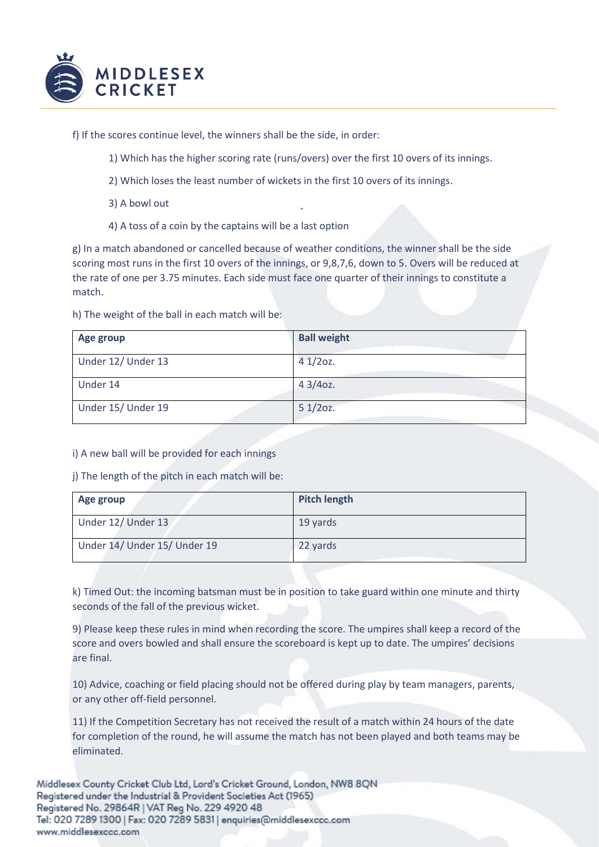

f) If the scores continue level, the winners shall be the side, in order:

- 1) Which has the higher scoring rate (runs/overs) over the first 10 overs of its innings.
- 2) Which loses the least number of wickets in the first 10 overs of its innings.
- 3) A bowl out
- 4) A toss of a coin by the captains will be a last option

g) In a match abandoned or cancelled because of weather conditions, the winner shall be the side scoring most runs in the first 10 overs of the innings, or 9,8,7,6, down to 5. Overs will be reduced at the rate of one per 3.75 minutes. Each side must face one quarter of their innings to constitute a match.

h) The weight of the ball in each match will be:

| Age group          | <b>Ball weight</b> |
|--------------------|--------------------|
| Under 12/ Under 13 | $41/20z$ .         |
| Under 14           | $43/4$ oz.         |
| Under 15/ Under 19 | $51/20z$ .         |

i) A new ball will be provided for each innings

j) The length of the pitch in each match will be:

| Age group                    | <b>Pitch length</b> |
|------------------------------|---------------------|
| Under 12/ Under 13           | 19 yards            |
| Under 14/ Under 15/ Under 19 | 22 yards            |

k) Timed Out: the incoming batsman must be in position to take guard within one minute and thirty seconds of the fall of the previous wicket.

9) Please keep these rules in mind when recording the score. The umpires shall keep a record of the score and overs bowled and shall ensure the scoreboard is kept up to date. The umpires' decisions are final.

10) Advice, coaching or field placing should not be offered during play by team managers, parents, or any other off-field personnel.

11) If the Competition Secretary has not received the result of a match within 24 hours of the date for completion of the round, he will assume the match has not been played and both teams may be eliminated.